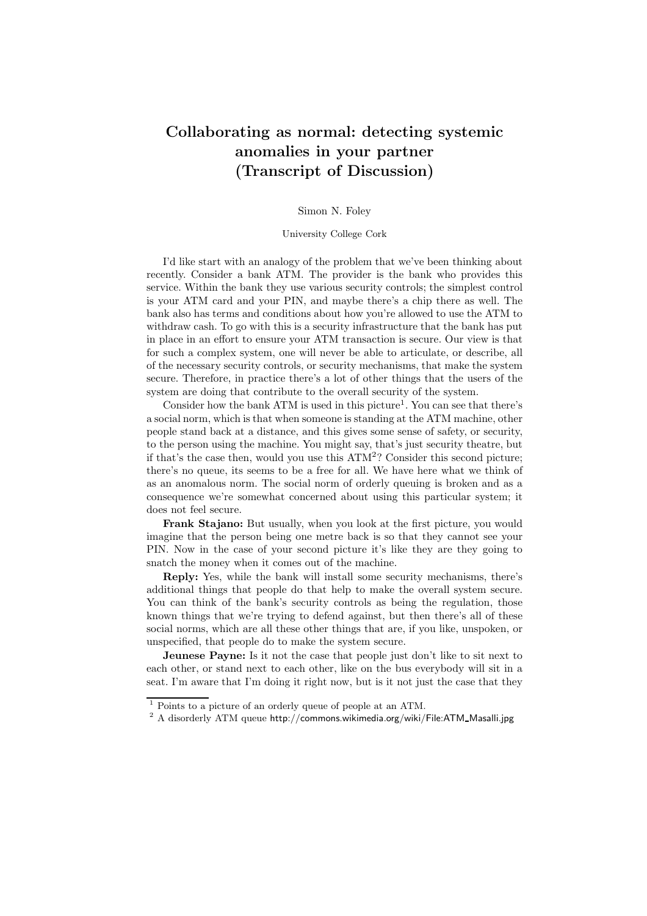# Collaborating as normal: detecting systemic anomalies in your partner (Transcript of Discussion)

#### Simon N. Foley

# University College Cork

I'd like start with an analogy of the problem that we've been thinking about recently. Consider a bank ATM. The provider is the bank who provides this service. Within the bank they use various security controls; the simplest control is your ATM card and your PIN, and maybe there's a chip there as well. The bank also has terms and conditions about how you're allowed to use the ATM to withdraw cash. To go with this is a security infrastructure that the bank has put in place in an effort to ensure your ATM transaction is secure. Our view is that for such a complex system, one will never be able to articulate, or describe, all of the necessary security controls, or security mechanisms, that make the system secure. Therefore, in practice there's a lot of other things that the users of the system are doing that contribute to the overall security of the system.

Consider how the bank ATM is used in this picture<sup>1</sup>. You can see that there's a social norm, which is that when someone is standing at the ATM machine, other people stand back at a distance, and this gives some sense of safety, or security, to the person using the machine. You might say, that's just security theatre, but if that's the case then, would you use this ATM<sup>2</sup> ? Consider this second picture; there's no queue, its seems to be a free for all. We have here what we think of as an anomalous norm. The social norm of orderly queuing is broken and as a consequence we're somewhat concerned about using this particular system; it does not feel secure.

Frank Stajano: But usually, when you look at the first picture, you would imagine that the person being one metre back is so that they cannot see your PIN. Now in the case of your second picture it's like they are they going to snatch the money when it comes out of the machine.

Reply: Yes, while the bank will install some security mechanisms, there's additional things that people do that help to make the overall system secure. You can think of the bank's security controls as being the regulation, those known things that we're trying to defend against, but then there's all of these social norms, which are all these other things that are, if you like, unspoken, or unspecified, that people do to make the system secure.

Jeunese Payne: Is it not the case that people just don't like to sit next to each other, or stand next to each other, like on the bus everybody will sit in a seat. I'm aware that I'm doing it right now, but is it not just the case that they

<sup>1</sup> Points to a picture of an orderly queue of people at an ATM.

 $2$  A disorderly ATM queue http://commons.wikimedia.org/wiki/File:ATM\_Masalli.jpg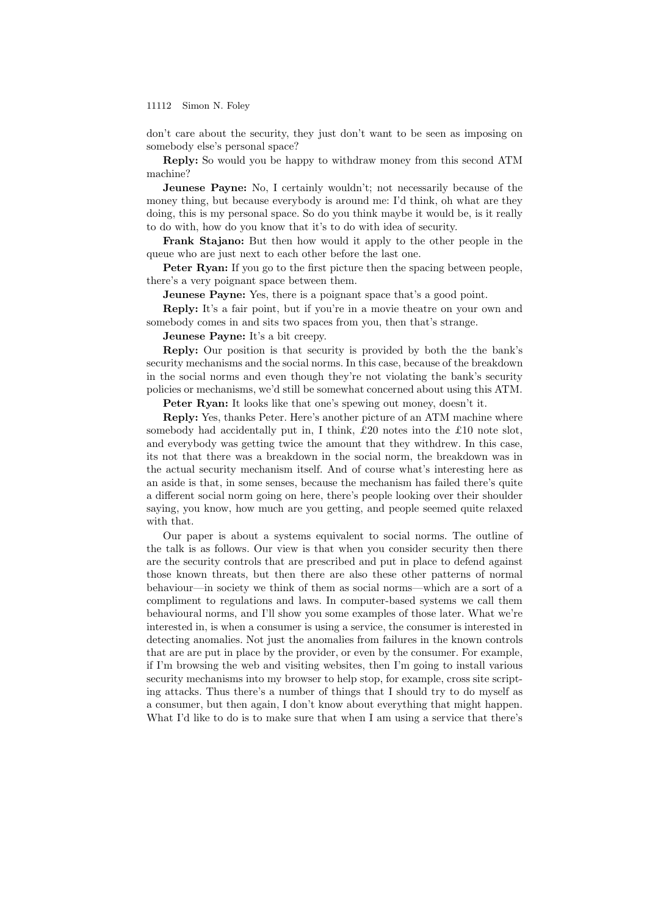don't care about the security, they just don't want to be seen as imposing on somebody else's personal space?

Reply: So would you be happy to withdraw money from this second ATM machine?

Jeunese Payne: No, I certainly wouldn't; not necessarily because of the money thing, but because everybody is around me: I'd think, oh what are they doing, this is my personal space. So do you think maybe it would be, is it really to do with, how do you know that it's to do with idea of security.

Frank Stajano: But then how would it apply to the other people in the queue who are just next to each other before the last one.

Peter Ryan: If you go to the first picture then the spacing between people, there's a very poignant space between them.

**Jeunese Payne:** Yes, there is a poignant space that's a good point.

Reply: It's a fair point, but if you're in a movie theatre on your own and somebody comes in and sits two spaces from you, then that's strange.

Jeunese Payne: It's a bit creepy.

Reply: Our position is that security is provided by both the the bank's security mechanisms and the social norms. In this case, because of the breakdown in the social norms and even though they're not violating the bank's security policies or mechanisms, we'd still be somewhat concerned about using this ATM.

Peter Ryan: It looks like that one's spewing out money, doesn't it.

Reply: Yes, thanks Peter. Here's another picture of an ATM machine where somebody had accidentally put in, I think,  $\pounds 20$  notes into the  $\pounds 10$  note slot, and everybody was getting twice the amount that they withdrew. In this case, its not that there was a breakdown in the social norm, the breakdown was in the actual security mechanism itself. And of course what's interesting here as an aside is that, in some senses, because the mechanism has failed there's quite a different social norm going on here, there's people looking over their shoulder saying, you know, how much are you getting, and people seemed quite relaxed with that.

Our paper is about a systems equivalent to social norms. The outline of the talk is as follows. Our view is that when you consider security then there are the security controls that are prescribed and put in place to defend against those known threats, but then there are also these other patterns of normal behaviour—in society we think of them as social norms—which are a sort of a compliment to regulations and laws. In computer-based systems we call them behavioural norms, and I'll show you some examples of those later. What we're interested in, is when a consumer is using a service, the consumer is interested in detecting anomalies. Not just the anomalies from failures in the known controls that are are put in place by the provider, or even by the consumer. For example, if I'm browsing the web and visiting websites, then I'm going to install various security mechanisms into my browser to help stop, for example, cross site scripting attacks. Thus there's a number of things that I should try to do myself as a consumer, but then again, I don't know about everything that might happen. What I'd like to do is to make sure that when I am using a service that there's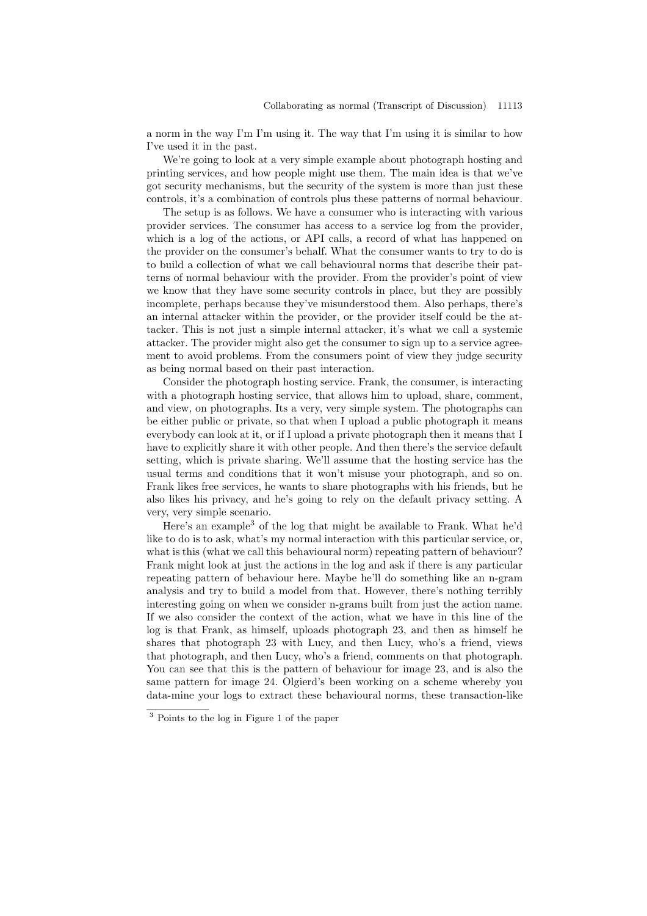a norm in the way I'm I'm using it. The way that I'm using it is similar to how I've used it in the past.

We're going to look at a very simple example about photograph hosting and printing services, and how people might use them. The main idea is that we've got security mechanisms, but the security of the system is more than just these controls, it's a combination of controls plus these patterns of normal behaviour.

The setup is as follows. We have a consumer who is interacting with various provider services. The consumer has access to a service log from the provider, which is a log of the actions, or API calls, a record of what has happened on the provider on the consumer's behalf. What the consumer wants to try to do is to build a collection of what we call behavioural norms that describe their patterns of normal behaviour with the provider. From the provider's point of view we know that they have some security controls in place, but they are possibly incomplete, perhaps because they've misunderstood them. Also perhaps, there's an internal attacker within the provider, or the provider itself could be the attacker. This is not just a simple internal attacker, it's what we call a systemic attacker. The provider might also get the consumer to sign up to a service agreement to avoid problems. From the consumers point of view they judge security as being normal based on their past interaction.

Consider the photograph hosting service. Frank, the consumer, is interacting with a photograph hosting service, that allows him to upload, share, comment, and view, on photographs. Its a very, very simple system. The photographs can be either public or private, so that when I upload a public photograph it means everybody can look at it, or if I upload a private photograph then it means that I have to explicitly share it with other people. And then there's the service default setting, which is private sharing. We'll assume that the hosting service has the usual terms and conditions that it won't misuse your photograph, and so on. Frank likes free services, he wants to share photographs with his friends, but he also likes his privacy, and he's going to rely on the default privacy setting. A very, very simple scenario.

Here's an example<sup>3</sup> of the log that might be available to Frank. What he'd like to do is to ask, what's my normal interaction with this particular service, or, what is this (what we call this behavioural norm) repeating pattern of behaviour? Frank might look at just the actions in the log and ask if there is any particular repeating pattern of behaviour here. Maybe he'll do something like an n-gram analysis and try to build a model from that. However, there's nothing terribly interesting going on when we consider n-grams built from just the action name. If we also consider the context of the action, what we have in this line of the log is that Frank, as himself, uploads photograph 23, and then as himself he shares that photograph 23 with Lucy, and then Lucy, who's a friend, views that photograph, and then Lucy, who's a friend, comments on that photograph. You can see that this is the pattern of behaviour for image 23, and is also the same pattern for image 24. Olgierd's been working on a scheme whereby you data-mine your logs to extract these behavioural norms, these transaction-like

<sup>3</sup> Points to the log in Figure 1 of the paper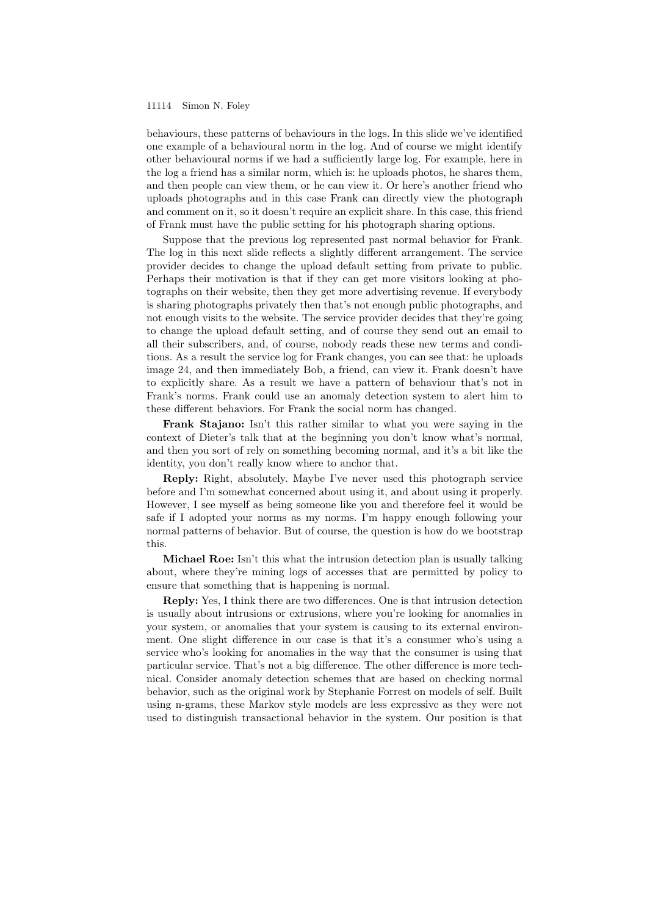behaviours, these patterns of behaviours in the logs. In this slide we've identified one example of a behavioural norm in the log. And of course we might identify other behavioural norms if we had a sufficiently large log. For example, here in the log a friend has a similar norm, which is: he uploads photos, he shares them, and then people can view them, or he can view it. Or here's another friend who uploads photographs and in this case Frank can directly view the photograph and comment on it, so it doesn't require an explicit share. In this case, this friend of Frank must have the public setting for his photograph sharing options.

Suppose that the previous log represented past normal behavior for Frank. The log in this next slide reflects a slightly different arrangement. The service provider decides to change the upload default setting from private to public. Perhaps their motivation is that if they can get more visitors looking at photographs on their website, then they get more advertising revenue. If everybody is sharing photographs privately then that's not enough public photographs, and not enough visits to the website. The service provider decides that they're going to change the upload default setting, and of course they send out an email to all their subscribers, and, of course, nobody reads these new terms and conditions. As a result the service log for Frank changes, you can see that: he uploads image 24, and then immediately Bob, a friend, can view it. Frank doesn't have to explicitly share. As a result we have a pattern of behaviour that's not in Frank's norms. Frank could use an anomaly detection system to alert him to these different behaviors. For Frank the social norm has changed.

Frank Stajano: Isn't this rather similar to what you were saying in the context of Dieter's talk that at the beginning you don't know what's normal, and then you sort of rely on something becoming normal, and it's a bit like the identity, you don't really know where to anchor that.

Reply: Right, absolutely. Maybe I've never used this photograph service before and I'm somewhat concerned about using it, and about using it properly. However, I see myself as being someone like you and therefore feel it would be safe if I adopted your norms as my norms. I'm happy enough following your normal patterns of behavior. But of course, the question is how do we bootstrap this.

Michael Roe: Isn't this what the intrusion detection plan is usually talking about, where they're mining logs of accesses that are permitted by policy to ensure that something that is happening is normal.

Reply: Yes, I think there are two differences. One is that intrusion detection is usually about intrusions or extrusions, where you're looking for anomalies in your system, or anomalies that your system is causing to its external environment. One slight difference in our case is that it's a consumer who's using a service who's looking for anomalies in the way that the consumer is using that particular service. That's not a big difference. The other difference is more technical. Consider anomaly detection schemes that are based on checking normal behavior, such as the original work by Stephanie Forrest on models of self. Built using n-grams, these Markov style models are less expressive as they were not used to distinguish transactional behavior in the system. Our position is that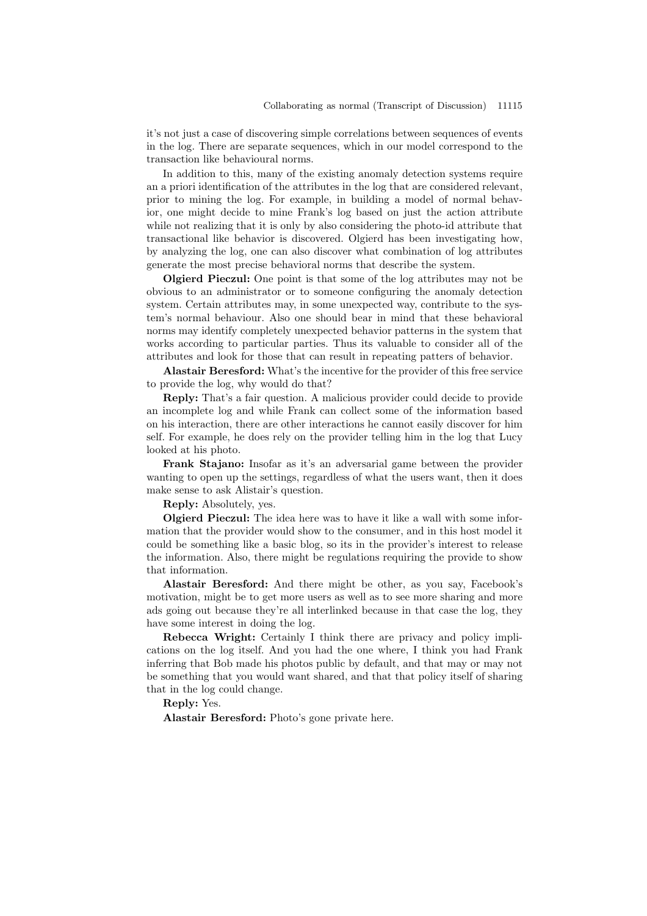it's not just a case of discovering simple correlations between sequences of events in the log. There are separate sequences, which in our model correspond to the transaction like behavioural norms.

In addition to this, many of the existing anomaly detection systems require an a priori identification of the attributes in the log that are considered relevant, prior to mining the log. For example, in building a model of normal behavior, one might decide to mine Frank's log based on just the action attribute while not realizing that it is only by also considering the photo-id attribute that transactional like behavior is discovered. Olgierd has been investigating how, by analyzing the log, one can also discover what combination of log attributes generate the most precise behavioral norms that describe the system.

Olgierd Pieczul: One point is that some of the log attributes may not be obvious to an administrator or to someone configuring the anomaly detection system. Certain attributes may, in some unexpected way, contribute to the system's normal behaviour. Also one should bear in mind that these behavioral norms may identify completely unexpected behavior patterns in the system that works according to particular parties. Thus its valuable to consider all of the attributes and look for those that can result in repeating patters of behavior.

Alastair Beresford: What's the incentive for the provider of this free service to provide the log, why would do that?

Reply: That's a fair question. A malicious provider could decide to provide an incomplete log and while Frank can collect some of the information based on his interaction, there are other interactions he cannot easily discover for him self. For example, he does rely on the provider telling him in the log that Lucy looked at his photo.

Frank Stajano: Insofar as it's an adversarial game between the provider wanting to open up the settings, regardless of what the users want, then it does make sense to ask Alistair's question.

Reply: Absolutely, yes.

Olgierd Pieczul: The idea here was to have it like a wall with some information that the provider would show to the consumer, and in this host model it could be something like a basic blog, so its in the provider's interest to release the information. Also, there might be regulations requiring the provide to show that information.

Alastair Beresford: And there might be other, as you say, Facebook's motivation, might be to get more users as well as to see more sharing and more ads going out because they're all interlinked because in that case the log, they have some interest in doing the log.

Rebecca Wright: Certainly I think there are privacy and policy implications on the log itself. And you had the one where, I think you had Frank inferring that Bob made his photos public by default, and that may or may not be something that you would want shared, and that that policy itself of sharing that in the log could change.

Reply: Yes.

Alastair Beresford: Photo's gone private here.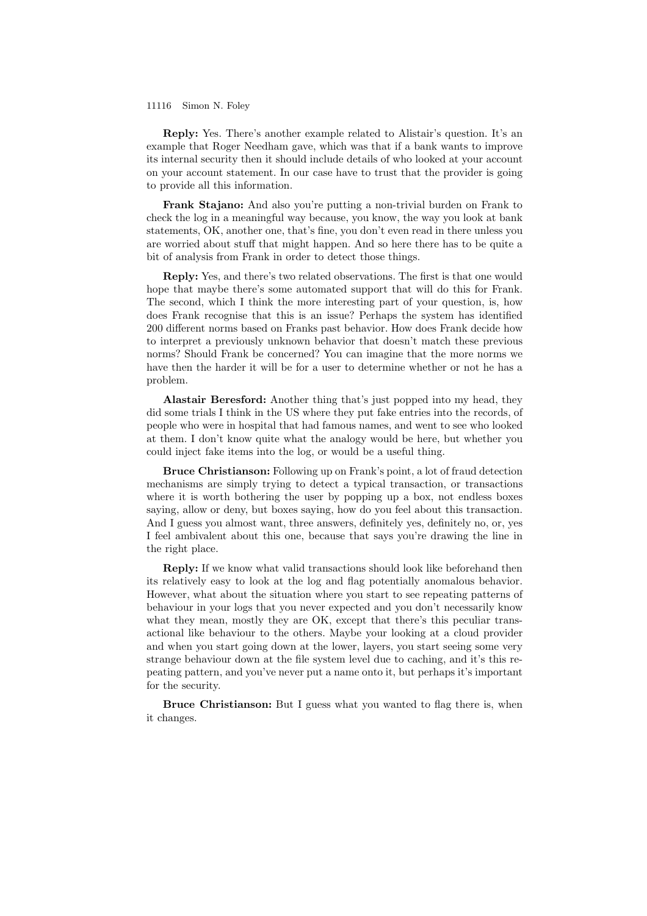Reply: Yes. There's another example related to Alistair's question. It's an example that Roger Needham gave, which was that if a bank wants to improve its internal security then it should include details of who looked at your account on your account statement. In our case have to trust that the provider is going to provide all this information.

Frank Stajano: And also you're putting a non-trivial burden on Frank to check the log in a meaningful way because, you know, the way you look at bank statements, OK, another one, that's fine, you don't even read in there unless you are worried about stuff that might happen. And so here there has to be quite a bit of analysis from Frank in order to detect those things.

Reply: Yes, and there's two related observations. The first is that one would hope that maybe there's some automated support that will do this for Frank. The second, which I think the more interesting part of your question, is, how does Frank recognise that this is an issue? Perhaps the system has identified 200 different norms based on Franks past behavior. How does Frank decide how to interpret a previously unknown behavior that doesn't match these previous norms? Should Frank be concerned? You can imagine that the more norms we have then the harder it will be for a user to determine whether or not he has a problem.

Alastair Beresford: Another thing that's just popped into my head, they did some trials I think in the US where they put fake entries into the records, of people who were in hospital that had famous names, and went to see who looked at them. I don't know quite what the analogy would be here, but whether you could inject fake items into the log, or would be a useful thing.

Bruce Christianson: Following up on Frank's point, a lot of fraud detection mechanisms are simply trying to detect a typical transaction, or transactions where it is worth bothering the user by popping up a box, not endless boxes saying, allow or deny, but boxes saying, how do you feel about this transaction. And I guess you almost want, three answers, definitely yes, definitely no, or, yes I feel ambivalent about this one, because that says you're drawing the line in the right place.

Reply: If we know what valid transactions should look like beforehand then its relatively easy to look at the log and flag potentially anomalous behavior. However, what about the situation where you start to see repeating patterns of behaviour in your logs that you never expected and you don't necessarily know what they mean, mostly they are OK, except that there's this peculiar transactional like behaviour to the others. Maybe your looking at a cloud provider and when you start going down at the lower, layers, you start seeing some very strange behaviour down at the file system level due to caching, and it's this repeating pattern, and you've never put a name onto it, but perhaps it's important for the security.

Bruce Christianson: But I guess what you wanted to flag there is, when it changes.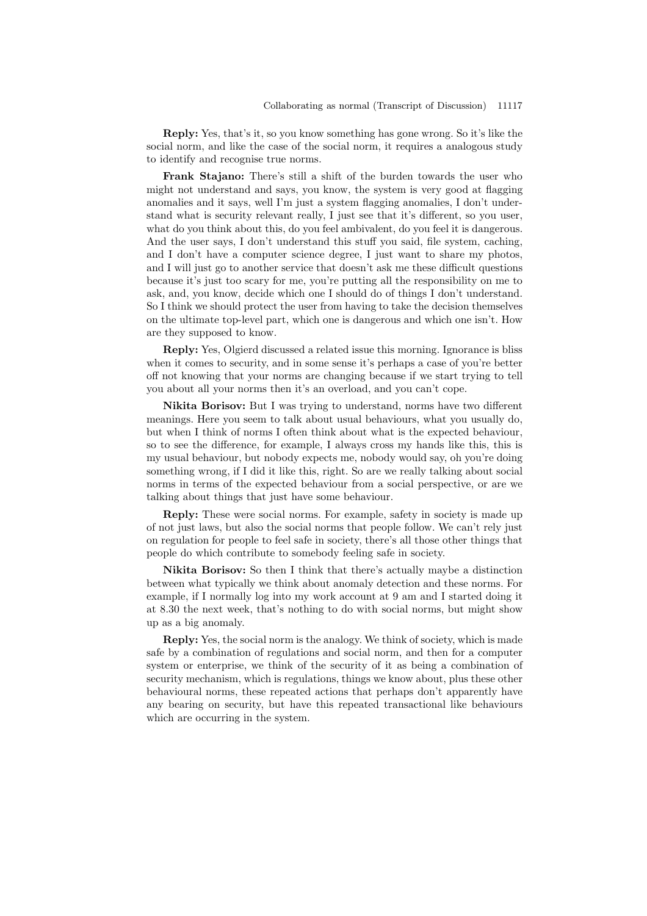Reply: Yes, that's it, so you know something has gone wrong. So it's like the social norm, and like the case of the social norm, it requires a analogous study to identify and recognise true norms.

Frank Stajano: There's still a shift of the burden towards the user who might not understand and says, you know, the system is very good at flagging anomalies and it says, well I'm just a system flagging anomalies, I don't understand what is security relevant really, I just see that it's different, so you user, what do you think about this, do you feel ambivalent, do you feel it is dangerous. And the user says, I don't understand this stuff you said, file system, caching, and I don't have a computer science degree, I just want to share my photos, and I will just go to another service that doesn't ask me these difficult questions because it's just too scary for me, you're putting all the responsibility on me to ask, and, you know, decide which one I should do of things I don't understand. So I think we should protect the user from having to take the decision themselves on the ultimate top-level part, which one is dangerous and which one isn't. How are they supposed to know.

Reply: Yes, Olgierd discussed a related issue this morning. Ignorance is bliss when it comes to security, and in some sense it's perhaps a case of you're better off not knowing that your norms are changing because if we start trying to tell you about all your norms then it's an overload, and you can't cope.

Nikita Borisov: But I was trying to understand, norms have two different meanings. Here you seem to talk about usual behaviours, what you usually do, but when I think of norms I often think about what is the expected behaviour, so to see the difference, for example, I always cross my hands like this, this is my usual behaviour, but nobody expects me, nobody would say, oh you're doing something wrong, if I did it like this, right. So are we really talking about social norms in terms of the expected behaviour from a social perspective, or are we talking about things that just have some behaviour.

Reply: These were social norms. For example, safety in society is made up of not just laws, but also the social norms that people follow. We can't rely just on regulation for people to feel safe in society, there's all those other things that people do which contribute to somebody feeling safe in society.

Nikita Borisov: So then I think that there's actually maybe a distinction between what typically we think about anomaly detection and these norms. For example, if I normally log into my work account at 9 am and I started doing it at 8.30 the next week, that's nothing to do with social norms, but might show up as a big anomaly.

Reply: Yes, the social norm is the analogy. We think of society, which is made safe by a combination of regulations and social norm, and then for a computer system or enterprise, we think of the security of it as being a combination of security mechanism, which is regulations, things we know about, plus these other behavioural norms, these repeated actions that perhaps don't apparently have any bearing on security, but have this repeated transactional like behaviours which are occurring in the system.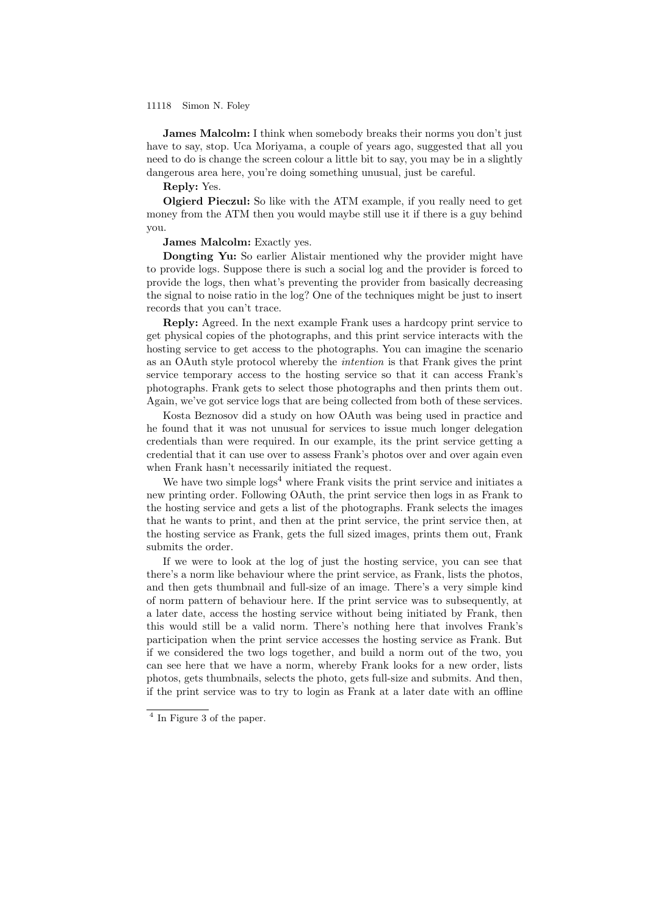**James Malcolm:** I think when somebody breaks their norms you don't just have to say, stop. Uca Moriyama, a couple of years ago, suggested that all you need to do is change the screen colour a little bit to say, you may be in a slightly dangerous area here, you're doing something unusual, just be careful.

# Reply: Yes.

Olgierd Pieczul: So like with the ATM example, if you really need to get money from the ATM then you would maybe still use it if there is a guy behind you.

James Malcolm: Exactly yes.

Dongting Yu: So earlier Alistair mentioned why the provider might have to provide logs. Suppose there is such a social log and the provider is forced to provide the logs, then what's preventing the provider from basically decreasing the signal to noise ratio in the log? One of the techniques might be just to insert records that you can't trace.

Reply: Agreed. In the next example Frank uses a hardcopy print service to get physical copies of the photographs, and this print service interacts with the hosting service to get access to the photographs. You can imagine the scenario as an OAuth style protocol whereby the intention is that Frank gives the print service temporary access to the hosting service so that it can access Frank's photographs. Frank gets to select those photographs and then prints them out. Again, we've got service logs that are being collected from both of these services.

Kosta Beznosov did a study on how OAuth was being used in practice and he found that it was not unusual for services to issue much longer delegation credentials than were required. In our example, its the print service getting a credential that it can use over to assess Frank's photos over and over again even when Frank hasn't necessarily initiated the request.

We have two simple  $\log s^4$  where Frank visits the print service and initiates a new printing order. Following OAuth, the print service then logs in as Frank to the hosting service and gets a list of the photographs. Frank selects the images that he wants to print, and then at the print service, the print service then, at the hosting service as Frank, gets the full sized images, prints them out, Frank submits the order.

If we were to look at the log of just the hosting service, you can see that there's a norm like behaviour where the print service, as Frank, lists the photos, and then gets thumbnail and full-size of an image. There's a very simple kind of norm pattern of behaviour here. If the print service was to subsequently, at a later date, access the hosting service without being initiated by Frank, then this would still be a valid norm. There's nothing here that involves Frank's participation when the print service accesses the hosting service as Frank. But if we considered the two logs together, and build a norm out of the two, you can see here that we have a norm, whereby Frank looks for a new order, lists photos, gets thumbnails, selects the photo, gets full-size and submits. And then, if the print service was to try to login as Frank at a later date with an offline

<sup>4</sup> In Figure 3 of the paper.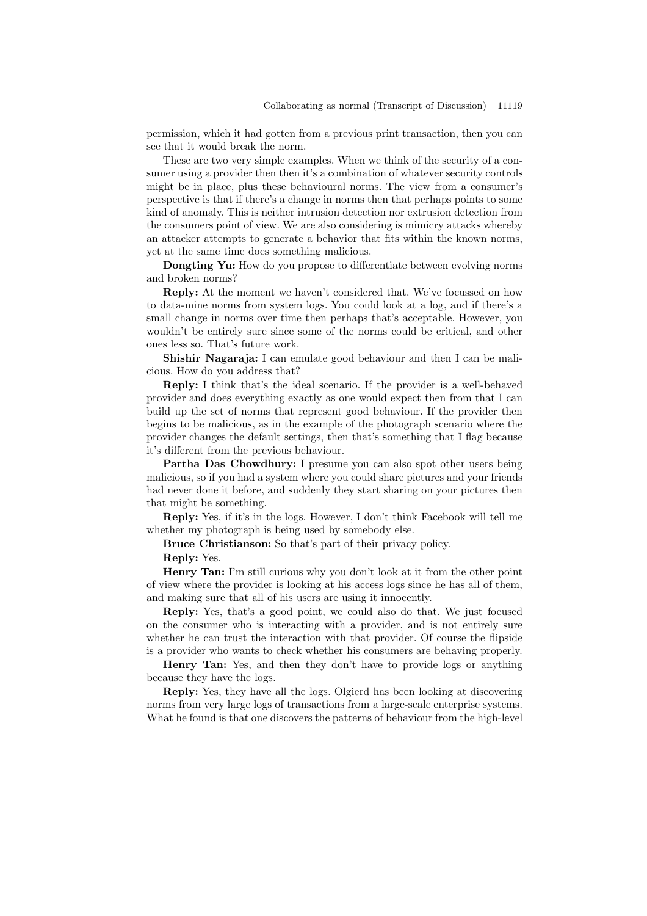permission, which it had gotten from a previous print transaction, then you can see that it would break the norm.

These are two very simple examples. When we think of the security of a consumer using a provider then then it's a combination of whatever security controls might be in place, plus these behavioural norms. The view from a consumer's perspective is that if there's a change in norms then that perhaps points to some kind of anomaly. This is neither intrusion detection nor extrusion detection from the consumers point of view. We are also considering is mimicry attacks whereby an attacker attempts to generate a behavior that fits within the known norms, yet at the same time does something malicious.

Dongting Yu: How do you propose to differentiate between evolving norms and broken norms?

Reply: At the moment we haven't considered that. We've focussed on how to data-mine norms from system logs. You could look at a log, and if there's a small change in norms over time then perhaps that's acceptable. However, you wouldn't be entirely sure since some of the norms could be critical, and other ones less so. That's future work.

Shishir Nagaraja: I can emulate good behaviour and then I can be malicious. How do you address that?

Reply: I think that's the ideal scenario. If the provider is a well-behaved provider and does everything exactly as one would expect then from that I can build up the set of norms that represent good behaviour. If the provider then begins to be malicious, as in the example of the photograph scenario where the provider changes the default settings, then that's something that I flag because it's different from the previous behaviour.

Partha Das Chowdhury: I presume you can also spot other users being malicious, so if you had a system where you could share pictures and your friends had never done it before, and suddenly they start sharing on your pictures then that might be something.

Reply: Yes, if it's in the logs. However, I don't think Facebook will tell me whether my photograph is being used by somebody else.

Bruce Christianson: So that's part of their privacy policy.

Reply: Yes.

Henry Tan: I'm still curious why you don't look at it from the other point of view where the provider is looking at his access logs since he has all of them, and making sure that all of his users are using it innocently.

Reply: Yes, that's a good point, we could also do that. We just focused on the consumer who is interacting with a provider, and is not entirely sure whether he can trust the interaction with that provider. Of course the flipside is a provider who wants to check whether his consumers are behaving properly.

Henry Tan: Yes, and then they don't have to provide logs or anything because they have the logs.

Reply: Yes, they have all the logs. Olgierd has been looking at discovering norms from very large logs of transactions from a large-scale enterprise systems. What he found is that one discovers the patterns of behaviour from the high-level